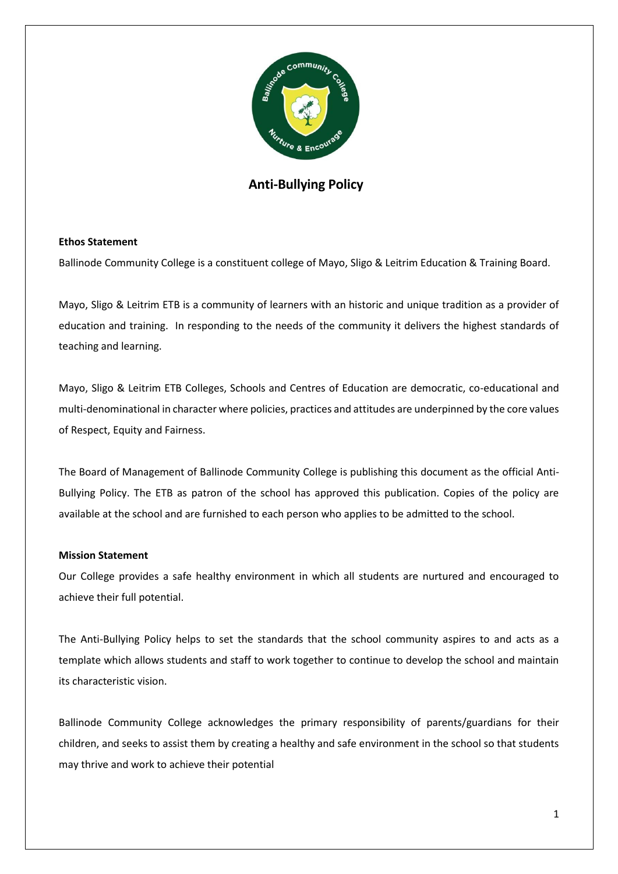

# **Anti-Bullying Policy**

#### **Ethos Statement**

Ballinode Community College is a constituent college of Mayo, Sligo & Leitrim Education & Training Board.

Mayo, Sligo & Leitrim ETB is a community of learners with an historic and unique tradition as a provider of education and training. In responding to the needs of the community it delivers the highest standards of teaching and learning.

Mayo, Sligo & Leitrim ETB Colleges, Schools and Centres of Education are democratic, co-educational and multi-denominational in character where policies, practices and attitudes are underpinned by the core values of Respect, Equity and Fairness.

The Board of Management of Ballinode Community College is publishing this document as the official Anti-Bullying Policy. The ETB as patron of the school has approved this publication. Copies of the policy are available at the school and are furnished to each person who applies to be admitted to the school.

### **Mission Statement**

Our College provides a safe healthy environment in which all students are nurtured and encouraged to achieve their full potential.

The Anti-Bullying Policy helps to set the standards that the school community aspires to and acts as a template which allows students and staff to work together to continue to develop the school and maintain its characteristic vision.

Ballinode Community College acknowledges the primary responsibility of parents/guardians for their children, and seeks to assist them by creating a healthy and safe environment in the school so that students may thrive and work to achieve their potential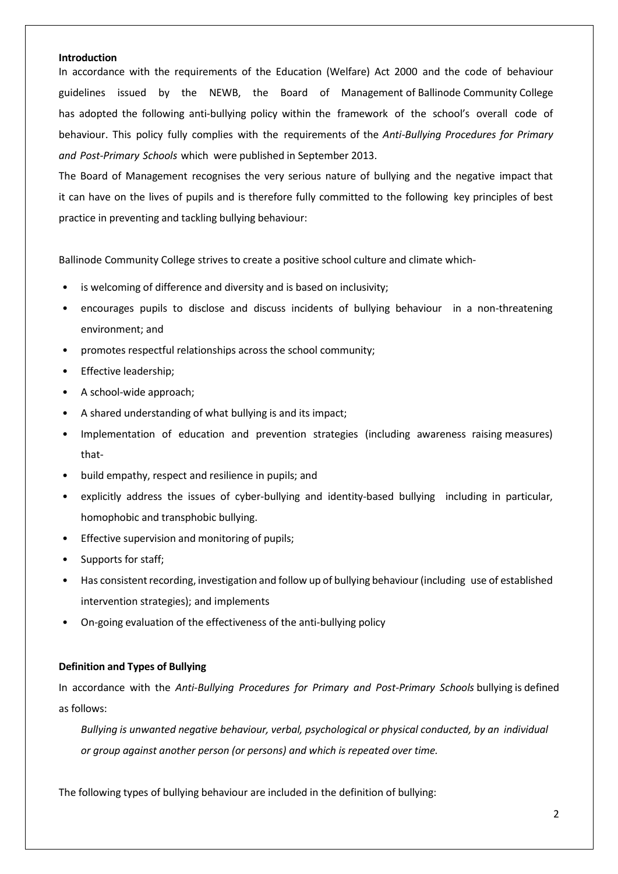#### **Introduction**

In accordance with the requirements of the Education (Welfare) Act 2000 and the code of behaviour guidelines issued by the NEWB, the Board of Management of Ballinode Community College has adopted the following anti-bullying policy within the framework of the school's overall code of behaviour. This policy fully complies with the requirements of the *Anti-Bullying Procedures for Primary and Post-Primary Schools* which were published in September 2013.

The Board of Management recognises the very serious nature of bullying and the negative impact that it can have on the lives of pupils and is therefore fully committed to the following key principles of best practice in preventing and tackling bullying behaviour:

Ballinode Community College strives to create a positive school culture and climate which-

- is welcoming of difference and diversity and is based on inclusivity;
- encourages pupils to disclose and discuss incidents of bullying behaviour in a non-threatening environment; and
- promotes respectful relationships across the school community;
- Effective leadership;
- A school-wide approach;
- A shared understanding of what bullying is and its impact;
- Implementation of education and prevention strategies (including awareness raising measures) that-
- build empathy, respect and resilience in pupils; and
- explicitly address the issues of cyber-bullying and identity-based bullying including in particular, homophobic and transphobic bullying.
- Effective supervision and monitoring of pupils;
- Supports for staff;
- Has consistent recording, investigation and follow up of bullying behaviour (including use of established intervention strategies); and implements
- On-going evaluation of the effectiveness of the anti-bullying policy

#### **Definition and Types of Bullying**

In accordance with the *Anti-Bullying Procedures for Primary and Post-Primary Schools* bullying is defined as follows:

*Bullying is unwanted negative behaviour, verbal, psychological or physical conducted, by an individual or group against another person (or persons) and which is repeated over time.*

The following types of bullying behaviour are included in the definition of bullying: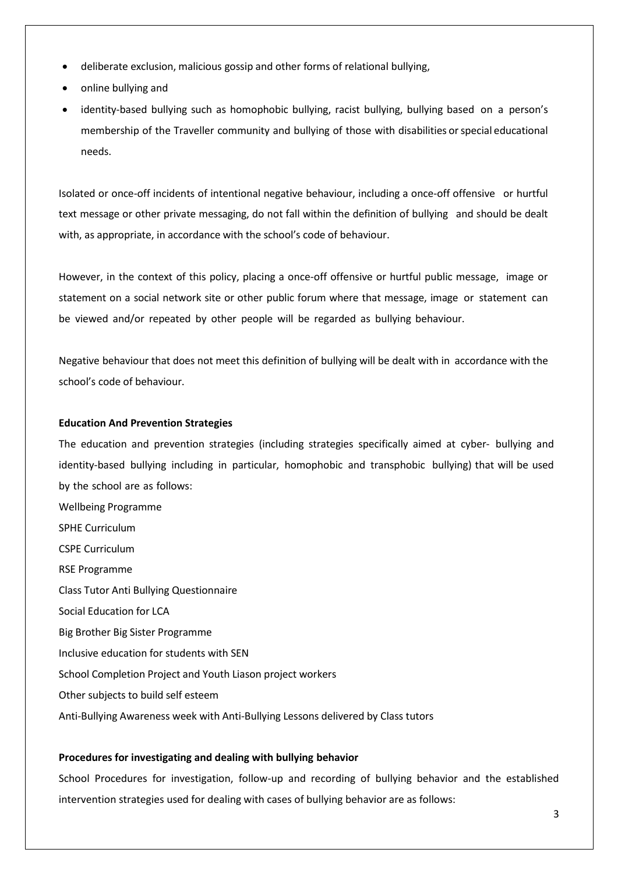- deliberate exclusion, malicious gossip and other forms of relational bullying,
- online bullying and
- identity-based bullying such as homophobic bullying, racist bullying, bullying based on a person's membership of the Traveller community and bullying of those with disabilities orspecial educational needs.

Isolated or once-off incidents of intentional negative behaviour, including a once-off offensive or hurtful text message or other private messaging, do not fall within the definition of bullying and should be dealt with, as appropriate, in accordance with the school's code of behaviour.

However, in the context of this policy, placing a once-off offensive or hurtful public message, image or statement on a social network site or other public forum where that message, image or statement can be viewed and/or repeated by other people will be regarded as bullying behaviour.

Negative behaviour that does not meet this definition of bullying will be dealt with in accordance with the school's code of behaviour.

### **Education And Prevention Strategies**

The education and prevention strategies (including strategies specifically aimed at cyber- bullying and identity-based bullying including in particular, homophobic and transphobic bullying) that will be used by the school are as follows:

Wellbeing Programme SPHE Curriculum CSPE Curriculum RSE Programme Class Tutor Anti Bullying Questionnaire Social Education for LCA Big Brother Big Sister Programme Inclusive education for students with SEN School Completion Project and Youth Liason project workers Other subjects to build self esteem Anti-Bullying Awareness week with Anti-Bullying Lessons delivered by Class tutors

# **Procedures for investigating and dealing with bullying behavior**

School Procedures for investigation, follow-up and recording of bullying behavior and the established intervention strategies used for dealing with cases of bullying behavior are as follows: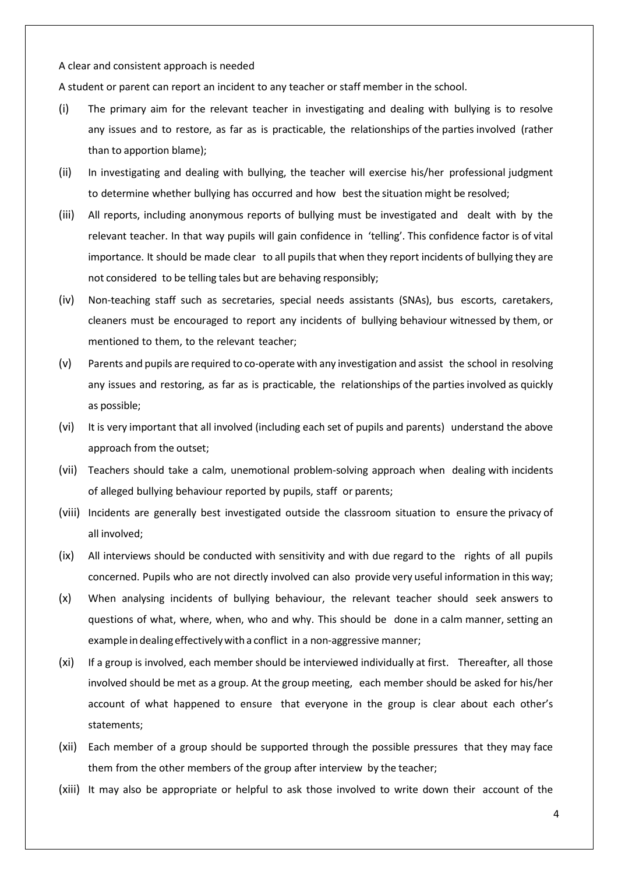#### A clear and consistent approach is needed

A student or parent can report an incident to any teacher or staff member in the school.

- (i) The primary aim for the relevant teacher in investigating and dealing with bullying is to resolve any issues and to restore, as far as is practicable, the relationships of the parties involved (rather than to apportion blame);
- (ii) In investigating and dealing with bullying, the teacher will exercise his/her professional judgment to determine whether bullying has occurred and how best the situation might be resolved;
- (iii) All reports, including anonymous reports of bullying must be investigated and dealt with by the relevant teacher. In that way pupils will gain confidence in 'telling'. This confidence factor is of vital importance. It should be made clear to all pupils that when they report incidents of bullying they are not considered to be telling tales but are behaving responsibly;
- (iv) Non-teaching staff such as secretaries, special needs assistants (SNAs), bus escorts, caretakers, cleaners must be encouraged to report any incidents of bullying behaviour witnessed by them, or mentioned to them, to the relevant teacher;
- (v) Parents and pupils are required to co-operate with any investigation and assist the school in resolving any issues and restoring, as far as is practicable, the relationships of the parties involved as quickly as possible;
- (vi) It is very important that all involved (including each set of pupils and parents) understand the above approach from the outset;
- (vii) Teachers should take a calm, unemotional problem-solving approach when dealing with incidents of alleged bullying behaviour reported by pupils, staff or parents;
- (viii) Incidents are generally best investigated outside the classroom situation to ensure the privacy of all involved;
- (ix) All interviews should be conducted with sensitivity and with due regard to the rights of all pupils concerned. Pupils who are not directly involved can also provide very useful information in this way;
- (x) When analysing incidents of bullying behaviour, the relevant teacher should seek answers to questions of what, where, when, who and why. This should be done in a calm manner, setting an example in dealing effectivelywith a conflict in a non-aggressive manner;
- (xi) If a group is involved, each member should be interviewed individually at first. Thereafter, all those involved should be met as a group. At the group meeting, each member should be asked for his/her account of what happened to ensure that everyone in the group is clear about each other's statements;
- (xii) Each member of a group should be supported through the possible pressures that they may face them from the other members of the group after interview by the teacher;
- (xiii) It may also be appropriate or helpful to ask those involved to write down their account of the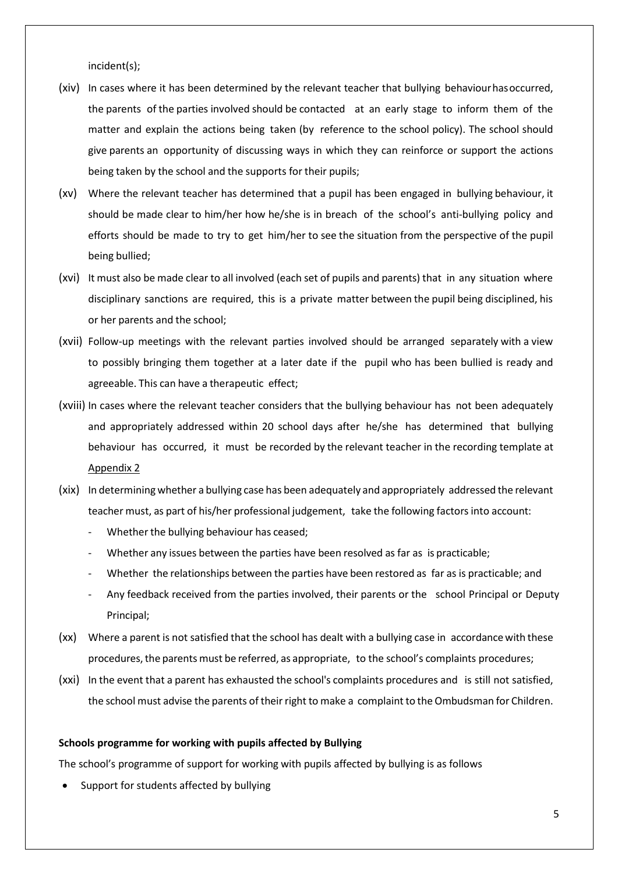incident(s);

- (xiv) In cases where it has been determined by the relevant teacher that bullying behaviourhasoccurred, the parents of the parties involved should be contacted at an early stage to inform them of the matter and explain the actions being taken (by reference to the school policy). The school should give parents an opportunity of discussing ways in which they can reinforce or support the actions being taken by the school and the supports for their pupils;
- (xv) Where the relevant teacher has determined that a pupil has been engaged in bullying behaviour, it should be made clear to him/her how he/she is in breach of the school's anti-bullying policy and efforts should be made to try to get him/her to see the situation from the perspective of the pupil being bullied;
- (xvi) It must also be made clear to all involved (each set of pupils and parents) that in any situation where disciplinary sanctions are required, this is a private matter between the pupil being disciplined, his or her parents and the school;
- (xvii) Follow-up meetings with the relevant parties involved should be arranged separately with a view to possibly bringing them together at a later date if the pupil who has been bullied is ready and agreeable. This can have a therapeutic effect;
- (xviii) In cases where the relevant teacher considers that the bullying behaviour has not been adequately and appropriately addressed within 20 school days after he/she has determined that bullying behaviour has occurred, it must be recorded by the relevant teacher in the recording template at Appendix 2
- (xix) In determining whether a bullying case has been adequately and appropriately addressed the relevant teacher must, as part of his/her professional judgement, take the following factors into account:
	- Whether the bullying behaviour has ceased;
	- Whether any issues between the parties have been resolved as far as is practicable;
	- Whether the relationships between the parties have been restored as far as is practicable; and
	- Any feedback received from the parties involved, their parents or the school Principal or Deputy Principal;
- (xx) Where a parent is not satisfied that the school has dealt with a bullying case in accordance with these procedures, the parents must be referred, as appropriate, to the school's complaints procedures;
- (xxi) In the event that a parent has exhausted the school's complaints procedures and is still not satisfied, the school must advise the parents of their right to make a complaint to the Ombudsman for Children.

#### **Schools programme for working with pupils affected by Bullying**

The school's programme of support for working with pupils affected by bullying is as follows

Support for students affected by bullying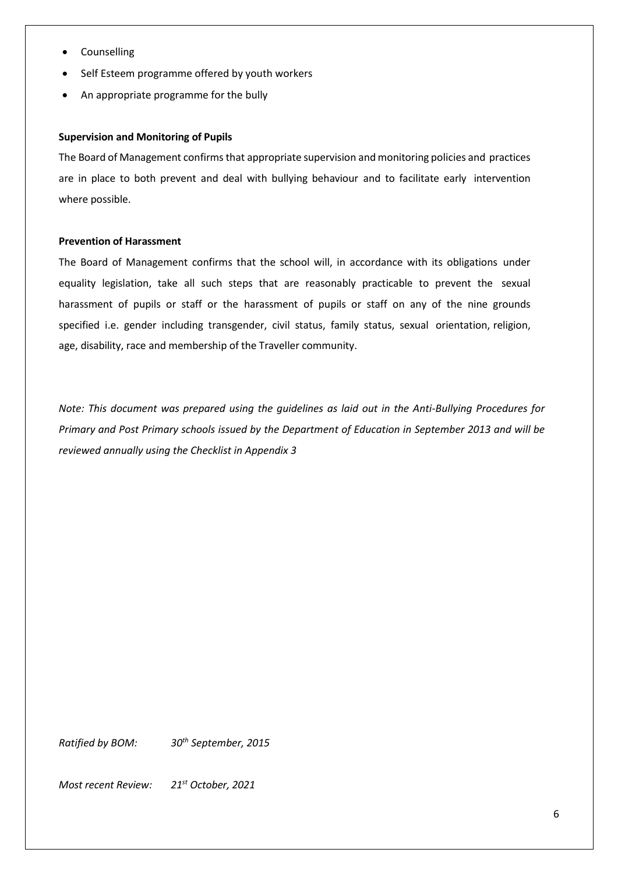- Counselling
- Self Esteem programme offered by youth workers
- An appropriate programme for the bully

### **Supervision and Monitoring of Pupils**

The Board of Management confirmsthat appropriate supervision and monitoring policies and practices are in place to both prevent and deal with bullying behaviour and to facilitate early intervention where possible.

### **Prevention of Harassment**

The Board of Management confirms that the school will, in accordance with its obligations under equality legislation, take all such steps that are reasonably practicable to prevent the sexual harassment of pupils or staff or the harassment of pupils or staff on any of the nine grounds specified i.e. gender including transgender, civil status, family status, sexual orientation, religion, age, disability, race and membership of the Traveller community.

*Note: This document was prepared using the guidelines as laid out in the Anti-Bullying Procedures for Primary and Post Primary schools issued by the Department of Education in September 2013 and will be reviewed annually using the Checklist in Appendix 3*

*Ratified by BOM: 30th September, 2015* 

*Most recent Review: 21st October, 2021*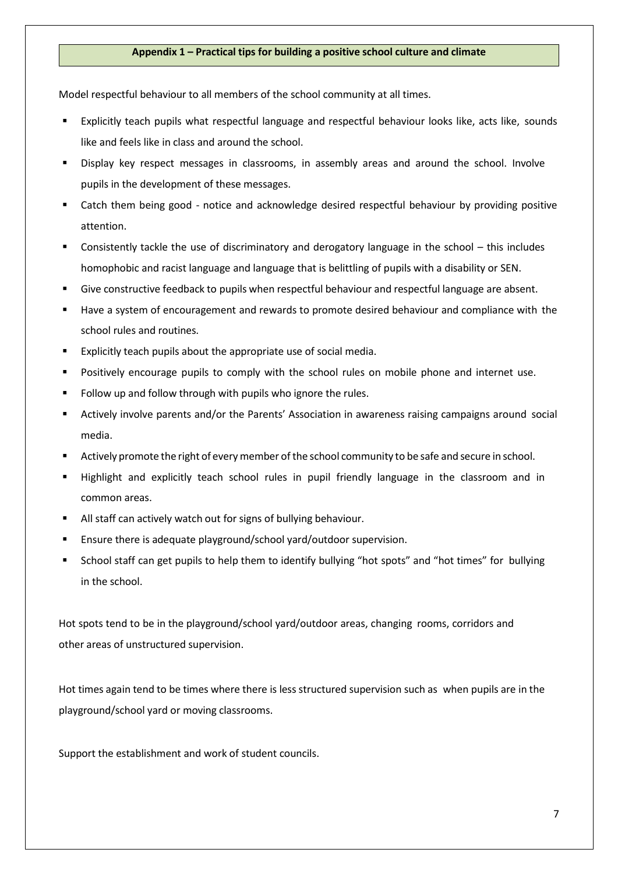### **Appendix 1 – Practical tips for building a positive school culture and climate**

Model respectful behaviour to all members of the school community at all times.

- Explicitly teach pupils what respectful language and respectful behaviour looks like, acts like, sounds like and feels like in class and around the school.
- Display key respect messages in classrooms, in assembly areas and around the school. Involve pupils in the development of these messages.
- Catch them being good notice and acknowledge desired respectful behaviour by providing positive attention.
- Consistently tackle the use of discriminatory and derogatory language in the school this includes homophobic and racist language and language that is belittling of pupils with a disability or SEN.
- Give constructive feedback to pupils when respectful behaviour and respectful language are absent.
- Have a system of encouragement and rewards to promote desired behaviour and compliance with the school rules and routines.
- Explicitly teach pupils about the appropriate use of social media.
- Positively encourage pupils to comply with the school rules on mobile phone and internet use.
- Follow up and follow through with pupils who ignore the rules.
- Actively involve parents and/or the Parents' Association in awareness raising campaigns around social media.
- Actively promote the right of every member of the school community to be safe and secure in school.
- Highlight and explicitly teach school rules in pupil friendly language in the classroom and in common areas.
- All staff can actively watch out for signs of bullying behaviour.
- Ensure there is adequate playground/school yard/outdoor supervision.
- School staff can get pupils to help them to identify bullying "hot spots" and "hot times" for bullying in the school.

Hot spots tend to be in the playground/school yard/outdoor areas, changing rooms, corridors and other areas of unstructured supervision.

Hot times again tend to be times where there is less structured supervision such as when pupils are in the playground/school yard or moving classrooms.

Support the establishment and work of student councils.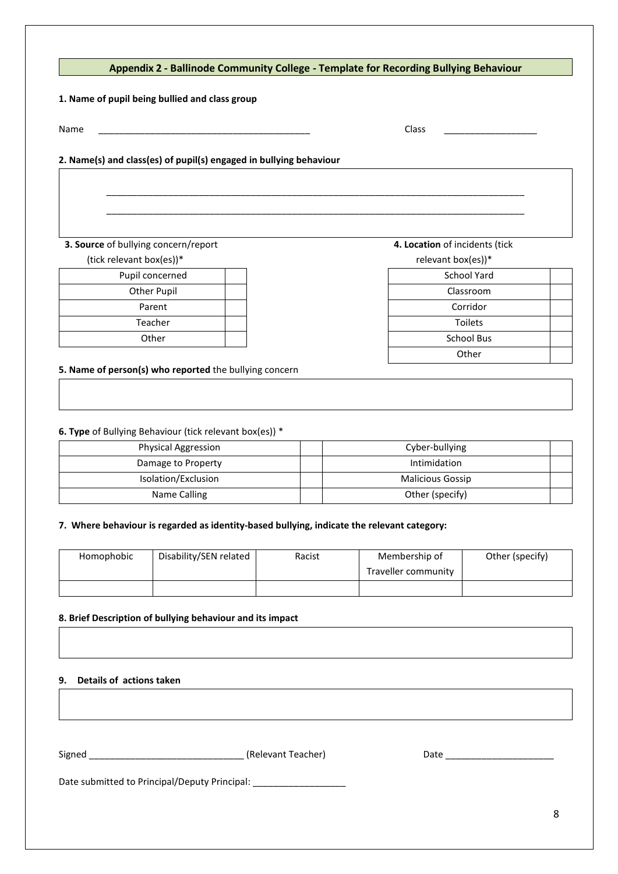| Name                                                               | Class                          |
|--------------------------------------------------------------------|--------------------------------|
| 2. Name(s) and class(es) of pupil(s) engaged in bullying behaviour |                                |
|                                                                    |                                |
|                                                                    |                                |
|                                                                    |                                |
| 3. Source of bullying concern/report                               | 4. Location of incidents (tick |
| (tick relevant box(es))*                                           | relevant box(es))*             |
| Pupil concerned                                                    | School Yard                    |
| Other Pupil                                                        | Classroom                      |
| Parent                                                             | Corridor                       |
| Teacher                                                            | Toilets                        |
| Other                                                              | <b>School Bus</b>              |
|                                                                    |                                |

| <b>Physical Aggression</b> | Cyber-bullying          |
|----------------------------|-------------------------|
| Damage to Property         | Intimidation            |
| Isolation/Exclusion        | <b>Malicious Gossip</b> |
| Name Calling               | Other (specify)         |

### **7. Where behaviour is regarded as identity-based bullying, indicate the relevant category:**

| Homophobic | Disability/SEN related | Racist | Membership of       | Other (specify) |
|------------|------------------------|--------|---------------------|-----------------|
|            |                        |        | Traveller community |                 |
|            |                        |        |                     |                 |

#### **8. Brief Description of bullying behaviour and its impact**

#### **9. Details of actions taken**

Signed \_\_\_\_\_\_\_\_\_\_\_\_\_\_\_\_\_\_\_\_\_\_\_\_\_\_\_\_\_\_ (Relevant Teacher) Date \_\_\_\_\_\_\_\_\_\_\_\_\_\_\_\_\_\_\_\_\_

Date submitted to Principal/Deputy Principal: \_\_\_\_\_\_\_\_\_\_\_\_\_\_\_\_\_\_\_\_\_\_\_\_\_\_\_\_\_\_\_\_\_\_